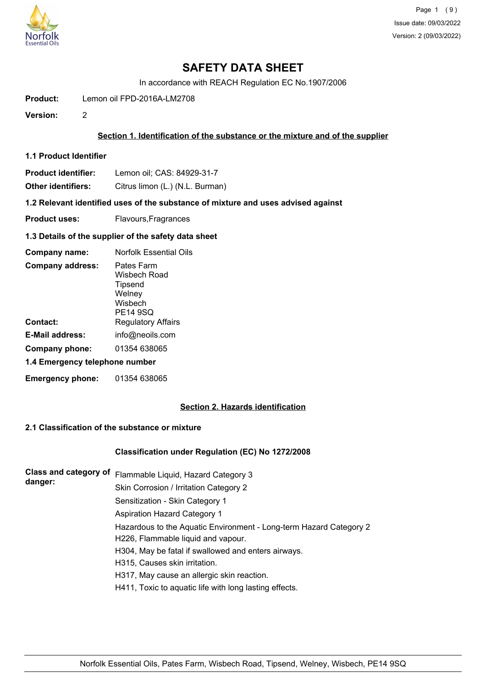

In accordance with REACH Regulation EC No.1907/2006

**Product:** Lemon oil FPD-2016A-LM2708

**Version:** 2

# **Section 1. Identification of the substance or the mixture and of the supplier**

- **1.1 Product Identifier**
- **Product identifier:** Lemon oil; CAS: 84929-31-7

**Other identifiers:** Citrus limon (L.) (N.L. Burman)

**1.2 Relevant identified uses of the substance of mixture and uses advised against**

**Product uses:** Flavours, Fragrances

### **1.3 Details of the supplier of the safety data sheet**

| Company name:                  | <b>Norfolk Essential Oils</b>                                                 |  |
|--------------------------------|-------------------------------------------------------------------------------|--|
| <b>Company address:</b>        | Pates Farm<br>Wisbech Road<br>Tipsend<br>Welney<br>Wisbech<br><b>PE14 9SQ</b> |  |
| Contact:                       | <b>Regulatory Affairs</b>                                                     |  |
| E-Mail address:                | info@neoils.com                                                               |  |
| Company phone:                 | 01354 638065                                                                  |  |
| 1.4 Emergency telephone number |                                                                               |  |
| <b>Emergency phone:</b>        | 01354 638065                                                                  |  |

# **Section 2. Hazards identification**

# **2.1 Classification of the substance or mixture**

## **Classification under Regulation (EC) No 1272/2008**

| <b>Class and category of</b><br>danger: | Flammable Liquid, Hazard Category 3                                |
|-----------------------------------------|--------------------------------------------------------------------|
|                                         | Skin Corrosion / Irritation Category 2                             |
|                                         | Sensitization - Skin Category 1                                    |
|                                         | <b>Aspiration Hazard Category 1</b>                                |
|                                         | Hazardous to the Aquatic Environment - Long-term Hazard Category 2 |
|                                         | H226, Flammable liquid and vapour.                                 |
|                                         | H304, May be fatal if swallowed and enters airways.                |
|                                         | H315, Causes skin irritation.                                      |
|                                         | H317, May cause an allergic skin reaction.                         |
|                                         | H411, Toxic to aquatic life with long lasting effects.             |
|                                         |                                                                    |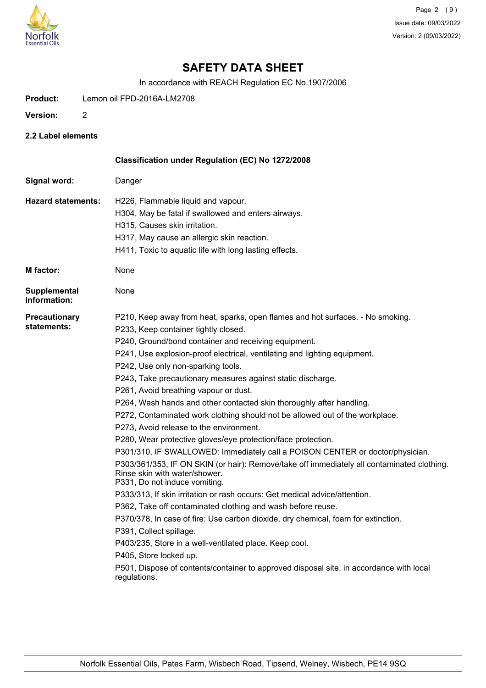

In accordance with REACH Regulation EC No.1907/2006

**Product:** Lemon oil FPD-2016A-LM2708

- **Version:** 2
- **2.2 Label elements**

|                                     | Classification under Regulation (EC) No 1272/2008                                                                                                            |
|-------------------------------------|--------------------------------------------------------------------------------------------------------------------------------------------------------------|
| Signal word:                        | Danger                                                                                                                                                       |
| <b>Hazard statements:</b>           | H226, Flammable liquid and vapour.                                                                                                                           |
|                                     | H304, May be fatal if swallowed and enters airways.                                                                                                          |
|                                     | H315, Causes skin irritation.                                                                                                                                |
|                                     | H317, May cause an allergic skin reaction.                                                                                                                   |
|                                     | H411, Toxic to aquatic life with long lasting effects.                                                                                                       |
| <b>M</b> factor:                    | None                                                                                                                                                         |
| <b>Supplemental</b><br>Information: | None                                                                                                                                                         |
| <b>Precautionary</b>                | P210, Keep away from heat, sparks, open flames and hot surfaces. - No smoking.                                                                               |
| statements:                         | P233, Keep container tightly closed.                                                                                                                         |
|                                     | P240, Ground/bond container and receiving equipment.                                                                                                         |
|                                     | P241, Use explosion-proof electrical, ventilating and lighting equipment.                                                                                    |
|                                     | P242, Use only non-sparking tools.                                                                                                                           |
|                                     | P243, Take precautionary measures against static discharge.                                                                                                  |
|                                     | P261, Avoid breathing vapour or dust.                                                                                                                        |
|                                     | P264, Wash hands and other contacted skin thoroughly after handling.                                                                                         |
|                                     | P272, Contaminated work clothing should not be allowed out of the workplace.                                                                                 |
|                                     | P273, Avoid release to the environment.                                                                                                                      |
|                                     | P280, Wear protective gloves/eye protection/face protection.                                                                                                 |
|                                     | P301/310, IF SWALLOWED: Immediately call a POISON CENTER or doctor/physician.                                                                                |
|                                     | P303/361/353, IF ON SKIN (or hair): Remove/take off immediately all contaminated clothing.<br>Rinse skin with water/shower.<br>P331, Do not induce vomiting. |
|                                     | P333/313, If skin irritation or rash occurs: Get medical advice/attention.                                                                                   |
|                                     | P362, Take off contaminated clothing and wash before reuse.                                                                                                  |
|                                     | P370/378, In case of fire: Use carbon dioxide, dry chemical, foam for extinction.                                                                            |
|                                     | P391, Collect spillage.                                                                                                                                      |
|                                     | P403/235, Store in a well-ventilated place. Keep cool.                                                                                                       |
|                                     | P405, Store locked up.                                                                                                                                       |
|                                     | P501, Dispose of contents/container to approved disposal site, in accordance with local<br>regulations.                                                      |
|                                     |                                                                                                                                                              |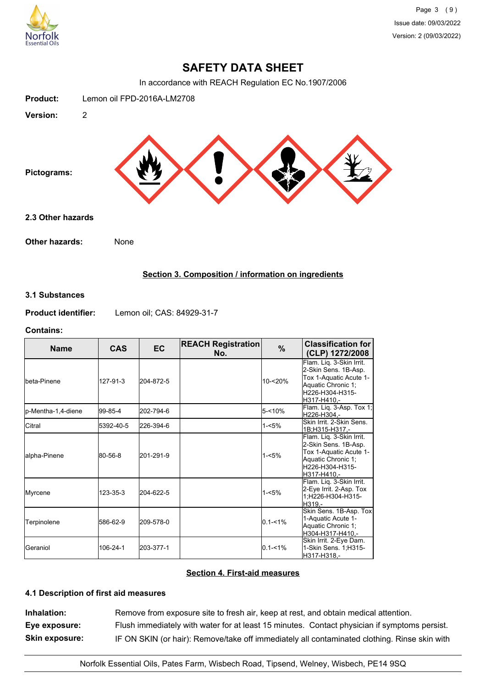

In accordance with REACH Regulation EC No.1907/2006



# **Section 3. Composition / information on ingredients**

## **3.1 Substances**

**Product identifier:** Lemon oil; CAS: 84929-31-7

## **Contains:**

| <b>Name</b>         | <b>CAS</b> | <b>EC</b> | <b>REACH Registration</b><br>No. | %           | <b>Classification for</b><br>(CLP) 1272/2008                                                                                        |
|---------------------|------------|-----------|----------------------------------|-------------|-------------------------------------------------------------------------------------------------------------------------------------|
| Ibeta-Pinene        | 127-91-3   | 204-872-5 |                                  | $10 - 20%$  | Flam. Liq. 3-Skin Irrit.<br>2-Skin Sens. 1B-Asp.<br>Tox 1-Aquatic Acute 1-<br>Aquatic Chronic 1;<br>H226-H304-H315-<br>lH317-H410.- |
| lp-Mentha-1,4-diene | 99-85-4    | 202-794-6 |                                  | $5 - 10%$   | Flam. Liq. 3-Asp. Tox 1;<br>H226-H304.-                                                                                             |
| Citral              | 5392-40-5  | 226-394-6 |                                  | $1 - 5%$    | Skin Irrit, 2-Skin Sens.<br>1B:H315-H317.-                                                                                          |
| lalpha-Pinene       | 80-56-8    | 201-291-9 |                                  | $1 - 5%$    | Flam. Liq. 3-Skin Irrit.<br>2-Skin Sens. 1B-Asp.<br>Tox 1-Aquatic Acute 1-<br>Aquatic Chronic 1;<br>H226-H304-H315-<br>H317-H410.-  |
| Myrcene             | 123-35-3   | 204-622-5 |                                  | $1 - 5%$    | Flam. Liq. 3-Skin Irrit.<br>2-Eye Irrit. 2-Asp. Tox<br>1;H226-H304-H315-<br>H319.-                                                  |
| Terpinolene         | 586-62-9   | 209-578-0 |                                  | $0.1 - 1\%$ | Skin Sens. 1B-Asp. Tox<br>1-Aquatic Acute 1-<br>Aquatic Chronic 1;<br>H304-H317-H410.-                                              |
| <b>Geraniol</b>     | 106-24-1   | 203-377-1 |                                  | $0.1 - 1\%$ | Skin Irrit. 2-Eye Dam.<br>1-Skin Sens. 1; H315-<br>H317-H318,-                                                                      |

# **Section 4. First-aid measures**

# **4.1 Description of first aid measures**

**Inhalation:** Remove from exposure site to fresh air, keep at rest, and obtain medical attention. **Eye exposure:** Flush immediately with water for at least 15 minutes. Contact physician if symptoms persist. **Skin exposure:** IF ON SKIN (or hair): Remove/take off immediately all contaminated clothing. Rinse skin with

Norfolk Essential Oils, Pates Farm, Wisbech Road, Tipsend, Welney, Wisbech, PE14 9SQ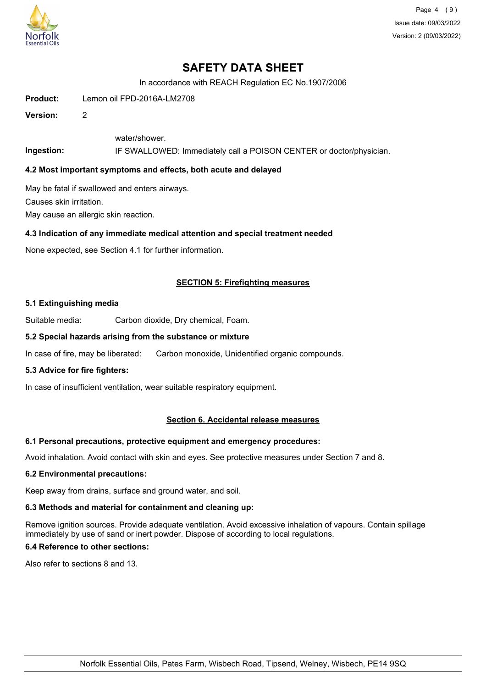

Page 4 (9) Issue date: 09/03/2022 Version: 2 (09/03/2022)

# **SAFETY DATA SHEET**

In accordance with REACH Regulation EC No.1907/2006

**Product:** Lemon oil FPD-2016A-LM2708

**Version:** 2

water/shower.

**Ingestion:** IF SWALLOWED: Immediately call a POISON CENTER or doctor/physician.

## **4.2 Most important symptoms and effects, both acute and delayed**

May be fatal if swallowed and enters airways. Causes skin irritation.

May cause an allergic skin reaction.

# **4.3 Indication of any immediate medical attention and special treatment needed**

None expected, see Section 4.1 for further information.

## **SECTION 5: Firefighting measures**

### **5.1 Extinguishing media**

Suitable media: Carbon dioxide, Dry chemical, Foam.

### **5.2 Special hazards arising from the substance or mixture**

In case of fire, may be liberated: Carbon monoxide, Unidentified organic compounds.

#### **5.3 Advice for fire fighters:**

In case of insufficient ventilation, wear suitable respiratory equipment.

## **Section 6. Accidental release measures**

## **6.1 Personal precautions, protective equipment and emergency procedures:**

Avoid inhalation. Avoid contact with skin and eyes. See protective measures under Section 7 and 8.

## **6.2 Environmental precautions:**

Keep away from drains, surface and ground water, and soil.

### **6.3 Methods and material for containment and cleaning up:**

Remove ignition sources. Provide adequate ventilation. Avoid excessive inhalation of vapours. Contain spillage immediately by use of sand or inert powder. Dispose of according to local regulations.

# **6.4 Reference to other sections:**

Also refer to sections 8 and 13.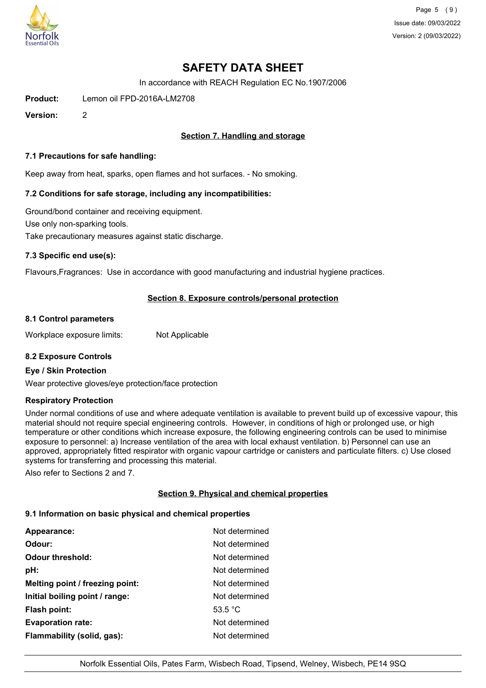

Page 5 (9) Issue date: 09/03/2022 Version: 2 (09/03/2022)

# **SAFETY DATA SHEET**

In accordance with REACH Regulation EC No.1907/2006

**Product:** Lemon oil FPD-2016A-LM2708

**Version:** 2

# **Section 7. Handling and storage**

### **7.1 Precautions for safe handling:**

Keep away from heat, sparks, open flames and hot surfaces. - No smoking.

# **7.2 Conditions for safe storage, including any incompatibilities:**

Ground/bond container and receiving equipment. Use only non-sparking tools. Take precautionary measures against static discharge.

### **7.3 Specific end use(s):**

Flavours,Fragrances: Use in accordance with good manufacturing and industrial hygiene practices.

## **Section 8. Exposure controls/personal protection**

#### **8.1 Control parameters**

Workplace exposure limits: Not Applicable

## **8.2 Exposure Controls**

#### **Eye / Skin Protection**

Wear protective gloves/eye protection/face protection

#### **Respiratory Protection**

Under normal conditions of use and where adequate ventilation is available to prevent build up of excessive vapour, this material should not require special engineering controls. However, in conditions of high or prolonged use, or high temperature or other conditions which increase exposure, the following engineering controls can be used to minimise exposure to personnel: a) Increase ventilation of the area with local exhaust ventilation. b) Personnel can use an approved, appropriately fitted respirator with organic vapour cartridge or canisters and particulate filters. c) Use closed systems for transferring and processing this material.

Also refer to Sections 2 and 7.

# **Section 9. Physical and chemical properties**

#### **9.1 Information on basic physical and chemical properties**

| Appearance:                     | Not determined    |
|---------------------------------|-------------------|
| Odour:                          | Not determined    |
| <b>Odour threshold:</b>         | Not determined    |
| pH:                             | Not determined    |
| Melting point / freezing point: | Not determined    |
| Initial boiling point / range:  | Not determined    |
| <b>Flash point:</b>             | 53.5 $^{\circ}$ C |
| <b>Evaporation rate:</b>        | Not determined    |
| Flammability (solid, gas):      | Not determined    |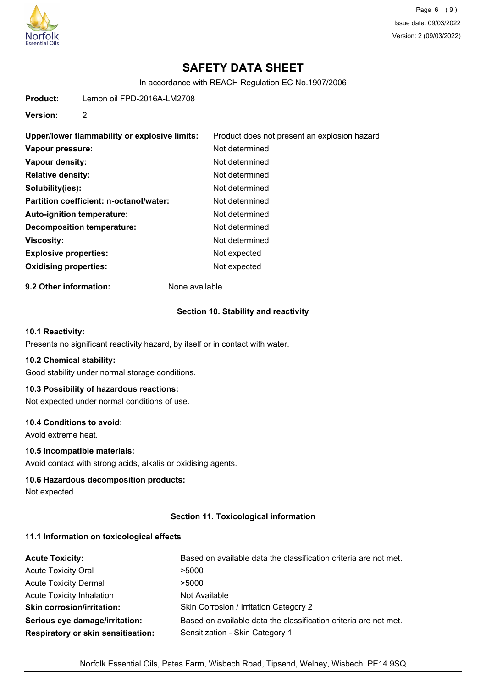

Page 6 (9) Issue date: 09/03/2022 Version: 2 (09/03/2022)

# **SAFETY DATA SHEET**

In accordance with REACH Regulation EC No.1907/2006

**Product:** Lemon oil FPD-2016A-LM2708

**Version:** 2

| Upper/lower flammability or explosive limits: | Product does not present an explosion hazard |
|-----------------------------------------------|----------------------------------------------|
| Vapour pressure:                              | Not determined                               |
| Vapour density:                               | Not determined                               |
| <b>Relative density:</b>                      | Not determined                               |
| Solubility(ies):                              | Not determined                               |
| Partition coefficient: n-octanol/water:       | Not determined                               |
| Auto-ignition temperature:                    | Not determined                               |
| <b>Decomposition temperature:</b>             | Not determined                               |
| <b>Viscosity:</b>                             | Not determined                               |
| <b>Explosive properties:</b>                  | Not expected                                 |
| <b>Oxidising properties:</b>                  | Not expected                                 |

**9.2 Other information:** None available

### **Section 10. Stability and reactivity**

## **10.1 Reactivity:**

Presents no significant reactivity hazard, by itself or in contact with water.

#### **10.2 Chemical stability:**

Good stability under normal storage conditions.

# **10.3 Possibility of hazardous reactions:**

Not expected under normal conditions of use.

### **10.4 Conditions to avoid:**

Avoid extreme heat.

# **10.5 Incompatible materials:**

Avoid contact with strong acids, alkalis or oxidising agents.

## **10.6 Hazardous decomposition products:**

Not expected.

# **Section 11. Toxicological information**

#### **11.1 Information on toxicological effects**

| <b>Acute Toxicity:</b>                    | Based on available data the classification criteria are not met. |
|-------------------------------------------|------------------------------------------------------------------|
| <b>Acute Toxicity Oral</b>                | >5000                                                            |
| <b>Acute Toxicity Dermal</b>              | >5000                                                            |
| <b>Acute Toxicity Inhalation</b>          | Not Available                                                    |
| <b>Skin corrosion/irritation:</b>         | Skin Corrosion / Irritation Category 2                           |
| Serious eye damage/irritation:            | Based on available data the classification criteria are not met. |
| <b>Respiratory or skin sensitisation:</b> | Sensitization - Skin Category 1                                  |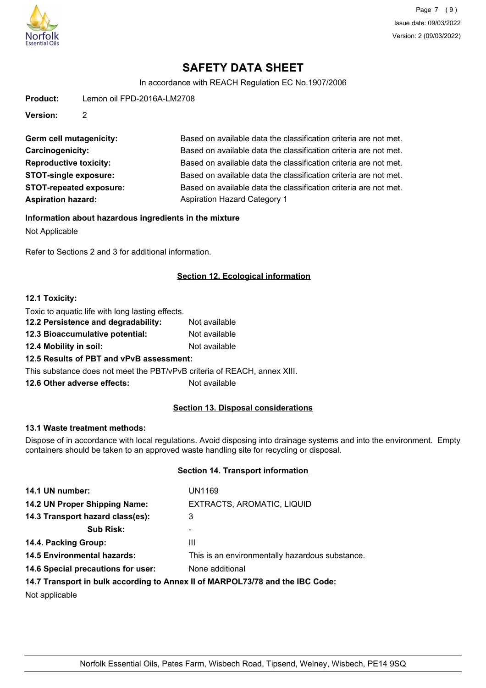

In accordance with REACH Regulation EC No.1907/2006

**Product:** Lemon oil FPD-2016A-LM2708

**Version:** 2

**Aspiration hazard:** Aspiration Hazard Category 1

Germ cell mutagenicity: Based on available data the classification criteria are not met. **Carcinogenicity:** Based on available data the classification criteria are not met. **Reproductive toxicity:** Based on available data the classification criteria are not met. **STOT-single exposure:** Based on available data the classification criteria are not met. **STOT-repeated exposure:** Based on available data the classification criteria are not met.

**Information about hazardous ingredients in the mixture**

Not Applicable

Refer to Sections 2 and 3 for additional information.

# **Section 12. Ecological information**

## **12.1 Toxicity:**

| Toxic to aquatic life with long lasting effects.                         |               |
|--------------------------------------------------------------------------|---------------|
| 12.2 Persistence and degradability:                                      | Not available |
| 12.3 Bioaccumulative potential:                                          | Not available |
| 12.4 Mobility in soil:                                                   | Not available |
| 12.5 Results of PBT and vPvB assessment:                                 |               |
| This substance does not meet the PBT/vPvB criteria of REACH, annex XIII. |               |
| 12.6 Other adverse effects:                                              | Not available |

# **Section 13. Disposal considerations**

## **13.1 Waste treatment methods:**

Dispose of in accordance with local regulations. Avoid disposing into drainage systems and into the environment. Empty containers should be taken to an approved waste handling site for recycling or disposal.

# **Section 14. Transport information**

| 14.1 UN number:                    | <b>UN1169</b>                                                                                                                                                                                                                  |
|------------------------------------|--------------------------------------------------------------------------------------------------------------------------------------------------------------------------------------------------------------------------------|
| 14.2 UN Proper Shipping Name:      | EXTRACTS, AROMATIC, LIQUID                                                                                                                                                                                                     |
| 14.3 Transport hazard class(es):   | 3                                                                                                                                                                                                                              |
| <b>Sub Risk:</b>                   | ۰                                                                                                                                                                                                                              |
| 14.4. Packing Group:               | Ш                                                                                                                                                                                                                              |
| <b>14.5 Environmental hazards:</b> | This is an environmentally hazardous substance.                                                                                                                                                                                |
| 14.6 Special precautions for user: | None additional                                                                                                                                                                                                                |
|                                    | 44 W. The concentration is a conservative of a concentration of the DOM of the UNA Assistant of the Conservation of the Conservation of the Conservation of the Conservation of the Conservation of the Conservation of the Co |

## **14.7 Transport in bulk according to Annex II of MARPOL73/78 and the IBC Code:**

Not applicable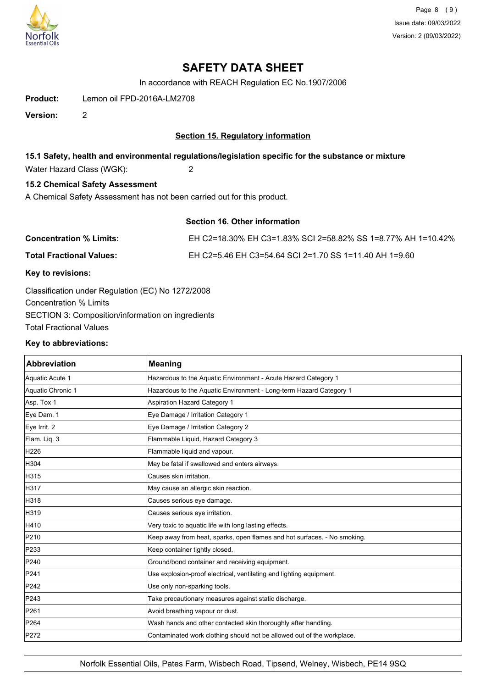

Page 8 (9) Issue date: 09/03/2022 Version: 2 (09/03/2022)

# **SAFETY DATA SHEET**

In accordance with REACH Regulation EC No.1907/2006

**Product:** Lemon oil FPD-2016A-LM2708

**Version:** 2

# **Section 15. Regulatory information**

# **15.1 Safety, health and environmental regulations/legislation specific for the substance or mixture**

Water Hazard Class (WGK): 2

# **15.2 Chemical Safety Assessment**

A Chemical Safety Assessment has not been carried out for this product.

# **Section 16. Other information**

| <b>Concentration % Limits:</b>  | EH C2=18.30% EH C3=1.83% SCI 2=58.82% SS 1=8.77% AH 1=10.42% |
|---------------------------------|--------------------------------------------------------------|
| <b>Total Fractional Values:</b> | EH C2=5.46 EH C3=54.64 SCI 2=1.70 SS 1=11.40 AH 1=9.60       |

## **Key to revisions:**

Classification under Regulation (EC) No 1272/2008 Concentration % Limits SECTION 3: Composition/information on ingredients Total Fractional Values

#### **Key to abbreviations:**

| Abbreviation      | <b>Meaning</b>                                                           |
|-------------------|--------------------------------------------------------------------------|
| Aquatic Acute 1   | Hazardous to the Aquatic Environment - Acute Hazard Category 1           |
| Aquatic Chronic 1 | Hazardous to the Aquatic Environment - Long-term Hazard Category 1       |
| Asp. Tox 1        | Aspiration Hazard Category 1                                             |
| Eye Dam. 1        | Eye Damage / Irritation Category 1                                       |
| Eye Irrit. 2      | Eye Damage / Irritation Category 2                                       |
| Flam. Liq. 3      | Flammable Liquid, Hazard Category 3                                      |
| H226              | Flammable liquid and vapour.                                             |
| H304              | May be fatal if swallowed and enters airways.                            |
| H315              | Causes skin irritation.                                                  |
| H317              | May cause an allergic skin reaction.                                     |
| H318              | Causes serious eye damage.                                               |
| H319              | Causes serious eye irritation.                                           |
| H410              | Very toxic to aquatic life with long lasting effects.                    |
| P210              | Keep away from heat, sparks, open flames and hot surfaces. - No smoking. |
| P233              | Keep container tightly closed.                                           |
| P240              | Ground/bond container and receiving equipment.                           |
| P241              | Use explosion-proof electrical, ventilating and lighting equipment.      |
| P242              | Use only non-sparking tools.                                             |
| P243              | Take precautionary measures against static discharge.                    |
| P261              | Avoid breathing vapour or dust.                                          |
| P264              | Wash hands and other contacted skin thoroughly after handling.           |
| P272              | Contaminated work clothing should not be allowed out of the workplace.   |